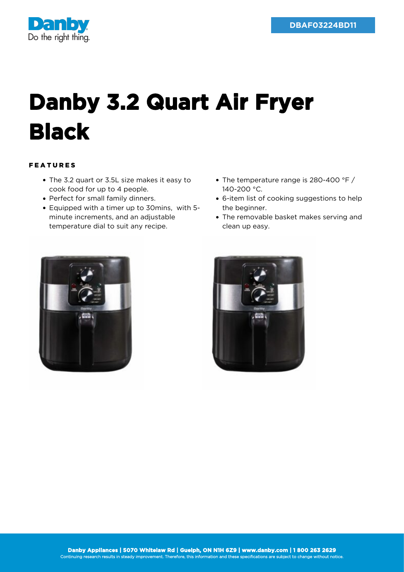

## **Danby 3.2 Quart Air Fryer Black**

## FEATURES

- The 3.2 quart or 3.5L size makes it easy to cook food for up to 4 people.
- Perfect for small family dinners.
- Equipped with a timer up to 30mins, with 5 minute increments, and an adjustable temperature dial to suit any recipe.
- The temperature range is 280-400 °F / 140-200 °C.
- 6-item list of cooking suggestions to help the beginner.
- The removable basket makes serving and clean up easy.